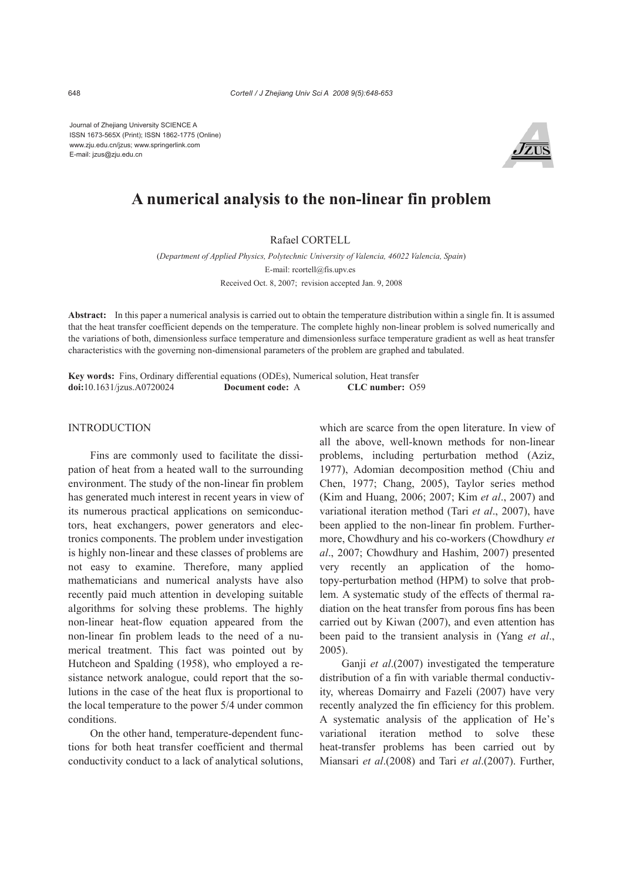Journal of Zhejiang University SCIENCE A ISSN 1673-565X (Print); ISSN 1862-1775 (Online) www.zju.edu.cn/jzus; www.springerlink.com E-mail: jzus@zju.edu.cn



# **A numerical analysis to the non-linear fin problem**

## Rafael CORTELL

(*Department of Applied Physics, Polytechnic University of Valencia, 46022 Valencia, Spain*) E-mail: rcortell@fis.upv.es Received Oct. 8, 2007; revision accepted Jan. 9, 2008

**Abstract:** In this paper a numerical analysis is carried out to obtain the temperature distribution within a single fin. It is assumed that the heat transfer coefficient depends on the temperature. The complete highly non-linear problem is solved numerically and the variations of both, dimensionless surface temperature and dimensionless surface temperature gradient as well as heat transfer characteristics with the governing non-dimensional parameters of the problem are graphed and tabulated.

**Key words:** Fins, Ordinary differential equations (ODEs), Numerical solution, Heat transfer **doi:**10.1631/jzus.A0720024 **Document code:** A **CLC number:** O59

# **INTRODUCTION**

Fins are commonly used to facilitate the dissipation of heat from a heated wall to the surrounding environment. The study of the non-linear fin problem has generated much interest in recent years in view of its numerous practical applications on semiconductors, heat exchangers, power generators and electronics components. The problem under investigation is highly non-linear and these classes of problems are not easy to examine. Therefore, many applied mathematicians and numerical analysts have also recently paid much attention in developing suitable algorithms for solving these problems. The highly non-linear heat-flow equation appeared from the non-linear fin problem leads to the need of a numerical treatment. This fact was pointed out by Hutcheon and Spalding (1958), who employed a resistance network analogue, could report that the solutions in the case of the heat flux is proportional to the local temperature to the power 5/4 under common conditions.

On the other hand, temperature-dependent functions for both heat transfer coefficient and thermal conductivity conduct to a lack of analytical solutions, which are scarce from the open literature. In view of all the above, well-known methods for non-linear problems, including perturbation method (Aziz, 1977), Adomian decomposition method (Chiu and Chen, 1977; Chang, 2005), Taylor series method (Kim and Huang, 2006; 2007; Kim *et al*., 2007) and variational iteration method (Tari *et al*., 2007), have been applied to the non-linear fin problem. Furthermore, Chowdhury and his co-workers (Chowdhury *et al*., 2007; Chowdhury and Hashim, 2007) presented very recently an application of the homotopy-perturbation method (HPM) to solve that problem. A systematic study of the effects of thermal radiation on the heat transfer from porous fins has been carried out by Kiwan (2007), and even attention has been paid to the transient analysis in (Yang *et al*., 2005).

Ganji *et al*.(2007) investigated the temperature distribution of a fin with variable thermal conductivity, whereas Domairry and Fazeli (2007) have very recently analyzed the fin efficiency for this problem. A systematic analysis of the application of He's variational iteration method to solve these heat-transfer problems has been carried out by Miansari *et al*.(2008) and Tari *et al*.(2007). Further,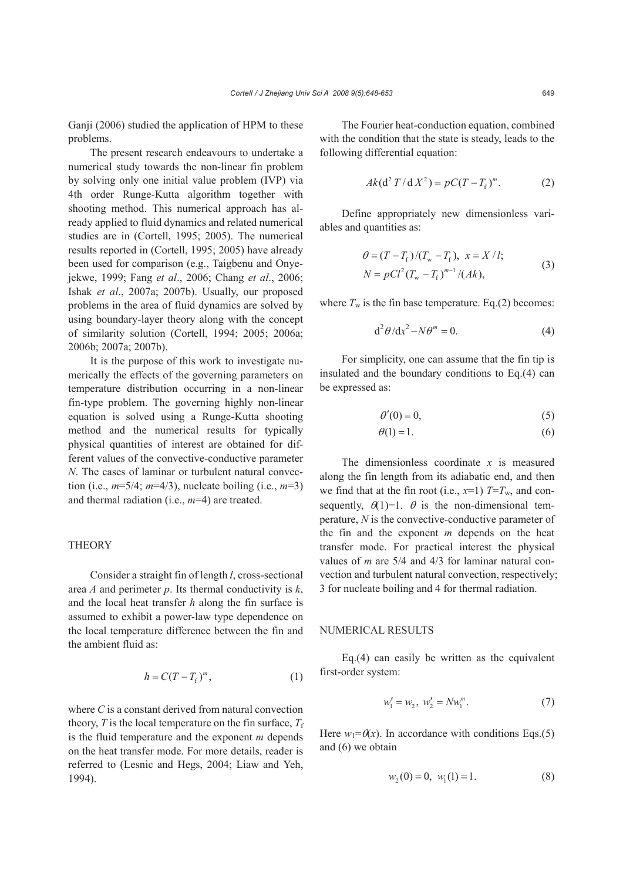Ganji (2006) studied the application of HPM to these problems.

The present research endeavours to undertake a numerical study towards the non-linear fin problem by solving only one initial value problem (IVP) via 4th order Runge-Kutta algorithm together with shooting method. This numerical approach has already applied to fluid dynamics and related numerical studies are in (Cortell, 1995; 2005). The numerical results reported in (Cortell, 1995; 2005) have already been used for comparison (e.g., Taigbenu and Onyejekwe, 1999; Fang *et al*., 2006; Chang *et al*., 2006; Ishak *et al*., 2007a; 2007b). Usually, our proposed problems in the area of fluid dynamics are solved by using boundary-layer theory along with the concept of similarity solution (Cortell, 1994; 2005; 2006a; 2006b; 2007a; 2007b).

It is the purpose of this work to investigate numerically the effects of the governing parameters on temperature distribution occurring in a non-linear fin-type problem. The governing highly non-linear equation is solved using a Runge-Kutta shooting method and the numerical results for typically physical quantities of interest are obtained for different values of the convective-conductive parameter *N*. The cases of laminar or turbulent natural convection (i.e., *m*=5/4; *m*=4/3), nucleate boiling (i.e., *m*=3) and thermal radiation (i.e., *m*=4) are treated.

# **THEORY**

Consider a straight fin of length *l*, cross-sectional area *A* and perimeter *p*. Its thermal conductivity is *k*, and the local heat transfer *h* along the fin surface is assumed to exhibit a power-law type dependence on the local temperature difference between the fin and the ambient fluid as:

$$
h = C(T - Tf)m,
$$
 (1)

where *C* is a constant derived from natural convection theory,  $T$  is the local temperature on the fin surface,  $T_f$ is the fluid temperature and the exponent *m* depends on the heat transfer mode. For more details, reader is referred to (Lesnic and Hegs, 2004; Liaw and Yeh, 1994).

The Fourier heat-conduction equation, combined with the condition that the state is steady, leads to the following differential equation:

$$
Ak(d^{2} T/dX^{2}) = pC(T - T_{f})^{m}.
$$
 (2)

Define appropriately new dimensionless variables and quantities as:

$$
\theta = (T - T_{\rm f})/(T_{\rm w} - T_{\rm f}), \ x = X/l; \nN = pCl^2 (T_{\rm w} - T_{\rm f})^{m-1}/(Ak),
$$
\n(3)

where  $T_w$  is the fin base temperature. Eq.(2) becomes:

$$
d^2\theta/dx^2 - N\theta^m = 0.
$$
 (4)

For simplicity, one can assume that the fin tip is insulated and the boundary conditions to Eq.(4) can be expressed as:

$$
\theta'(0) = 0,\tag{5}
$$

$$
\theta(1) = 1. \tag{6}
$$

The dimensionless coordinate *x* is measured along the fin length from its adiabatic end, and then we find that at the fin root (i.e.,  $x=1$ )  $T=T_w$ , and consequently,  $\theta(1)=1$ .  $\theta$  is the non-dimensional temperature, *N* is the convective-conductive parameter of the fin and the exponent *m* depends on the heat transfer mode. For practical interest the physical values of *m* are 5/4 and 4/3 for laminar natural convection and turbulent natural convection, respectively; 3 for nucleate boiling and 4 for thermal radiation.

#### NUMERICAL RESULTS

Eq.(4) can easily be written as the equivalent first-order system:

$$
w_1' = w_2, \ w_2' = N w_1^m. \tag{7}
$$

Here  $w_1 = \theta(x)$ . In accordance with conditions Eqs.(5) and (6) we obtain

$$
w_2(0) = 0, \ w_1(1) = 1. \tag{8}
$$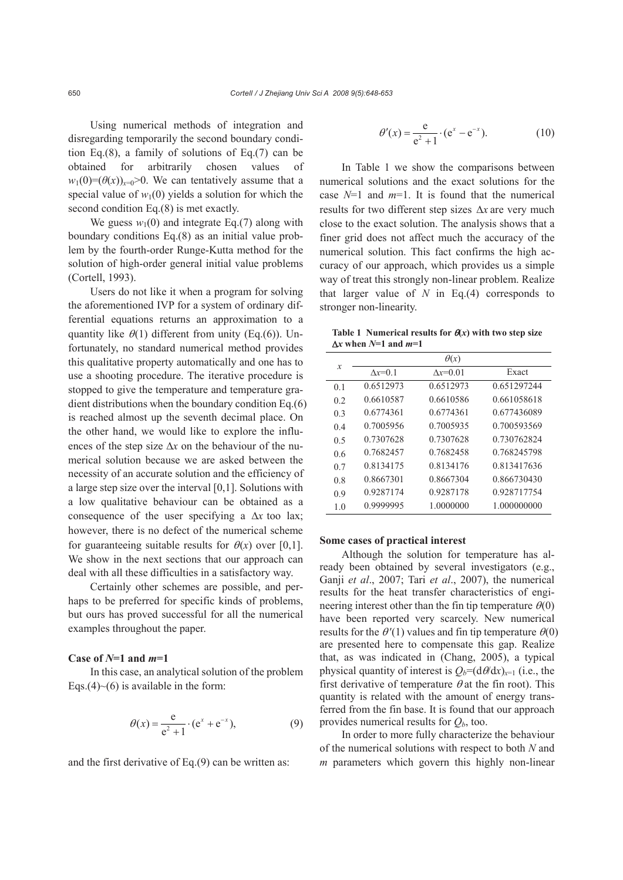Using numerical methods of integration and disregarding temporarily the second boundary condition Eq.(8), a family of solutions of Eq.(7) can be obtained for arbitrarily chosen values of  $w_1(0)=(\theta(x))_{x=0}>0$ . We can tentatively assume that a special value of  $w_1(0)$  yields a solution for which the second condition Eq.(8) is met exactly.

We guess  $w_1(0)$  and integrate Eq.(7) along with boundary conditions Eq.(8) as an initial value problem by the fourth-order Runge-Kutta method for the solution of high-order general initial value problems (Cortell, 1993).

Users do not like it when a program for solving the aforementioned IVP for a system of ordinary differential equations returns an approximation to a quantity like  $\theta(1)$  different from unity (Eq.(6)). Unfortunately, no standard numerical method provides this qualitative property automatically and one has to use a shooting procedure. The iterative procedure is stopped to give the temperature and temperature gradient distributions when the boundary condition Eq.(6) is reached almost up the seventh decimal place. On the other hand, we would like to explore the influences of the step size Δ*x* on the behaviour of the numerical solution because we are asked between the necessity of an accurate solution and the efficiency of a large step size over the interval [0,1]. Solutions with a low qualitative behaviour can be obtained as a consequence of the user specifying a Δ*x* too lax; however, there is no defect of the numerical scheme for guaranteeing suitable results for  $\theta(x)$  over [0,1]. We show in the next sections that our approach can deal with all these difficulties in a satisfactory way.

Certainly other schemes are possible, and perhaps to be preferred for specific kinds of problems, but ours has proved successful for all the numerical examples throughout the paper.

## **Case of** *N***=1 and** *m***=1**

In this case, an analytical solution of the problem Eqs.(4) $\sim$ (6) is available in the form:

$$
\theta(x) = \frac{e}{e^2 + 1} \cdot (e^x + e^{-x}),
$$
\n(9)

and the first derivative of Eq.(9) can be written as:

$$
\theta'(x) = \frac{e}{e^2 + 1} \cdot (e^x - e^{-x}).
$$
 (10)

In Table 1 we show the comparisons between numerical solutions and the exact solutions for the case *N*=1 and *m*=1. It is found that the numerical results for two different step sizes Δ*x* are very much close to the exact solution. The analysis shows that a finer grid does not affect much the accuracy of the numerical solution. This fact confirms the high accuracy of our approach, which provides us a simple way of treat this strongly non-linear problem. Realize that larger value of  $N$  in Eq.(4) corresponds to stronger non-linearity.

**Table 1 Numerical results for**  $\theta(x)$  **with two step size** Δ*x* **when** *N***=1 and** *m***=1**

|                | $\theta(x)$    |                   |             |  |  |
|----------------|----------------|-------------------|-------------|--|--|
| x              | $\Delta x=0.1$ | $\Delta x = 0.01$ | Exact       |  |  |
| 0 <sub>1</sub> | 0.6512973      | 0.6512973         | 0.651297244 |  |  |
| 02             | 0.6610587      | 0.6610586         | 0.661058618 |  |  |
| 0 <sup>3</sup> | 0.6774361      | 0.6774361         | 0.677436089 |  |  |
| 0 <sub>4</sub> | 0.7005956      | 0 7005935         | 0.700593569 |  |  |
| 0.5            | 0.7307628      | 0.7307628         | 0.730762824 |  |  |
| 06             | 0 7682457      | 0.7682458         | 0 768245798 |  |  |
| 0.7            | 0.8134175      | 0.8134176         | 0.813417636 |  |  |
| 0.8            | 0.8667301      | 0.8667304         | 0.866730430 |  |  |
| 0.9            | 0.9287174      | 0.9287178         | 0.928717754 |  |  |
| 1 <sub>0</sub> | 0.9999995      | 1.0000000         | 1.000000000 |  |  |
|                |                |                   |             |  |  |

#### **Some cases of practical interest**

Although the solution for temperature has already been obtained by several investigators (e.g., Ganji *et al*., 2007; Tari *et al*., 2007), the numerical results for the heat transfer characteristics of engineering interest other than the fin tip temperature  $\theta(0)$ have been reported very scarcely. New numerical results for the  $\theta'(1)$  values and fin tip temperature  $\theta(0)$ are presented here to compensate this gap. Realize that, as was indicated in (Chang, 2005), a typical physical quantity of interest is  $Q_b = (d\theta/dx)_{x=1}$  (i.e., the first derivative of temperature  $\theta$  at the fin root). This quantity is related with the amount of energy transferred from the fin base. It is found that our approach provides numerical results for  $Q<sub>b</sub>$ , too.

In order to more fully characterize the behaviour of the numerical solutions with respect to both *N* and *m* parameters which govern this highly non-linear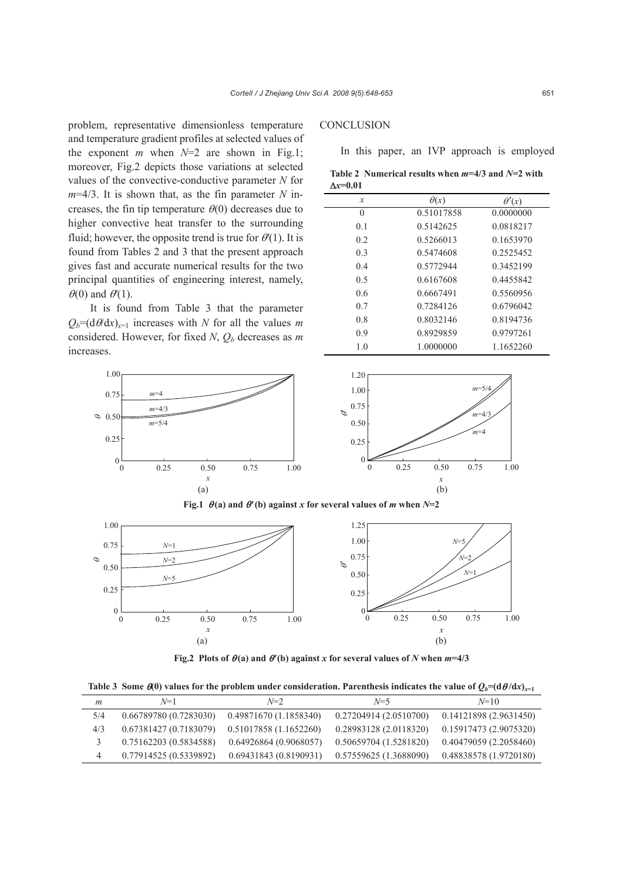problem, representative dimensionless temperature and temperature gradient profiles at selected values of the exponent *m* when  $N=2$  are shown in Fig.1; moreover, Fig.2 depicts those variations at selected values of the convective-conductive parameter *N* for *m*=4/3. It is shown that, as the fin parameter *N* increases, the fin tip temperature  $\theta(0)$  decreases due to higher convective heat transfer to the surrounding fluid; however, the opposite trend is true for θ*′*(1). It is found from Tables 2 and 3 that the present approach gives fast and accurate numerical results for the two principal quantities of engineering interest, namely,  $\theta(0)$  and  $\theta'(1)$ .

It is found from Table 3 that the parameter  $Q_b = (d\theta/dx)_{x=1}$  increases with *N* for all the values *m* considered. However, for fixed  $N$ ,  $Q_b$  decreases as  $m$ increases.

*x* 

0.50

 $\left[0\right]$  0.25

*m*=4 *m*=4/3 *m*=5/4

 $\infty$  0.50

0.25

 $\boldsymbol{0}$ 

1.00 0.75

# **CONCLUSION**

In this paper, an IVP approach is employed

**Table 2 Numerical results when** *m***=4/3 and** *N***=2 with**  Δ*x***=0.01**

| $\theta(x)$ | $\theta'(x)$ |  |
|-------------|--------------|--|
| 0.51017858  | 0.0000000    |  |
| 0.5142625   | 0.0818217    |  |
| 0.5266013   | 0.1653970    |  |
| 0.5474608   | 0.2525452    |  |
| 0.5772944   | 0.3452199    |  |
| 0.6167608   | 0.4455842    |  |
| 0.6667491   | 0.5560956    |  |
| 0.7284126   | 0.6796042    |  |
| 0.8032146   | 0.8194736    |  |
| 0.8929859   | 0.9797261    |  |
| 1.0000000   | 1.1652260    |  |
|             |              |  |





0.75 1.00



**Fig.2** Plots of  $\theta$ (a) and  $\theta'$ (b) against *x* for several values of *N* when  $m=4/3$ 

**Table 3** Some  $\theta$ (0) values for the problem under consideration. Parenthesis indicates the value of  $Q_b = (d\theta/dx)_{x=1}$ 

| m   | $N=1$                  | $N=2$                  | $N=5$                  | $N=10$                 |
|-----|------------------------|------------------------|------------------------|------------------------|
| 5/4 | 0.66789780 (0.7283030) | 0.49871670 (1.1858340) | 0.27204914(2.0510700)  | 0.14121898(2.9631450)  |
| 4/3 | 0.67381427(0.7183079)  | 0.51017858(1.1652260)  | 0.28983128 (2.0118320) | 0.15917473(2.9075320)  |
|     | 0.75162203 (0.5834588) | 0.64926864 (0.9068057) | 0.50659704 (1.5281820) | 0.40479059(2.2058460)  |
| 4   | 0.77914525 (0.5339892) | 0.69431843(0.8190931)  | 0.57559625 (1.3688090) | 0.48838578 (1.9720180) |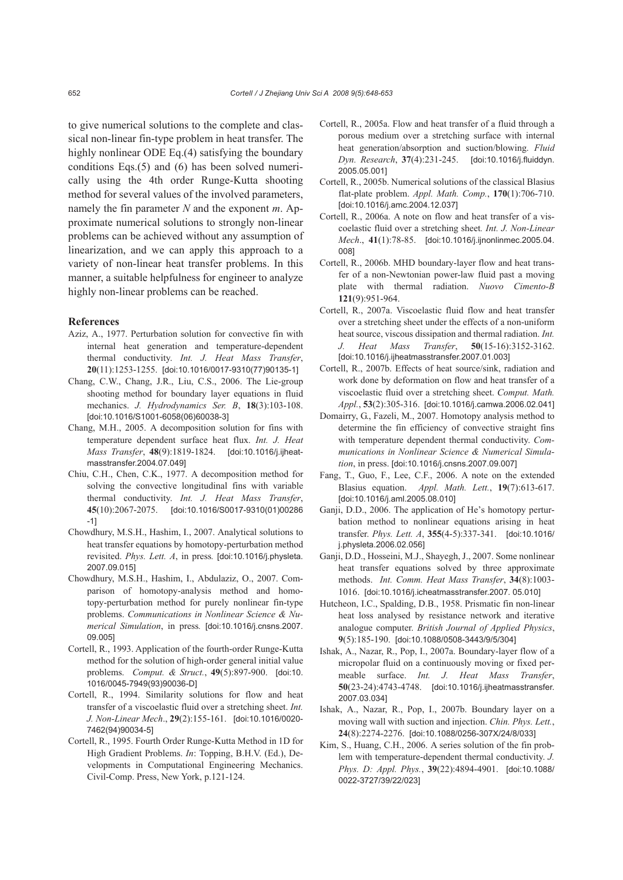to give numerical solutions to the complete and classical non-linear fin-type problem in heat transfer. The highly nonlinear ODE Eq.(4) satisfying the boundary conditions Eqs.(5) and (6) has been solved numerically using the 4th order Runge-Kutta shooting method for several values of the involved parameters, namely the fin parameter *N* and the exponent *m*. Approximate numerical solutions to strongly non-linear problems can be achieved without any assumption of linearization, and we can apply this approach to a variety of non-linear heat transfer problems. In this manner, a suitable helpfulness for engineer to analyze highly non-linear problems can be reached.

#### **References**

- Aziz, A., 1977. Perturbation solution for convective fin with internal heat generation and temperature-dependent thermal conductivity. *Int. J. Heat Mass Transfer*, **20**(11):1253-1255. [doi:10.1016/0017-9310(77)90135-1]
- Chang, C.W., Chang, J.R., Liu, C.S., 2006. The Lie-group shooting method for boundary layer equations in fluid mechanics. *J. Hydrodynamics Ser. B*, **18**(3):103-108. [doi:10.1016/S1001-6058(06)60038-3]
- Chang, M.H., 2005. A decomposition solution for fins with temperature dependent surface heat flux. *Int. J. Heat Mass Transfer*, **48**(9):1819-1824. [doi:10.1016/j.ijheatmasstransfer.2004.07.049]
- Chiu, C.H., Chen, C.K., 1977. A decomposition method for solving the convective longitudinal fins with variable thermal conductivity. *Int. J. Heat Mass Transfer*, **45**(10):2067-2075. [doi:10.1016/S0017-9310(01)00286 -1]
- Chowdhury, M.S.H., Hashim, I., 2007. Analytical solutions to heat transfer equations by homotopy-perturbation method revisited. *Phys. Lett. A*, in press*.* [doi:10.1016/j.physleta. 2007.09.015]
- Chowdhury, M.S.H., Hashim, I., Abdulaziz, O., 2007. Comparison of homotopy-analysis method and homotopy-perturbation method for purely nonlinear fin-type problems. *Communications in Nonlinear Science & Numerical Simulation*, in press*.* [doi:10.1016/j.cnsns.2007. 09.005]
- Cortell, R., 1993. Application of the fourth-order Runge-Kutta method for the solution of high-order general initial value problems. *Comput. & Struct.*, **49**(5):897-900. [doi:10. 1016/0045-7949(93)90036-D]
- Cortell, R., 1994. Similarity solutions for flow and heat transfer of a viscoelastic fluid over a stretching sheet. *Int. J. Non-Linear Mech*., **29**(2):155-161. [doi:10.1016/0020- 7462(94)90034-5]
- Cortell, R., 1995. Fourth Order Runge-Kutta Method in 1D for High Gradient Problems. *In*: Topping, B.H.V. (Ed.), Developments in Computational Engineering Mechanics. Civil-Comp. Press, New York, p.121-124.
- Cortell, R., 2005a. Flow and heat transfer of a fluid through a porous medium over a stretching surface with internal heat generation/absorption and suction/blowing. *Fluid Dyn. Research*, **37**(4):231-245. [doi:10.1016/j.fluiddyn. 2005.05.001]
- Cortell, R., 2005b. Numerical solutions of the classical Blasius flat-plate problem. *Appl. Math. Comp.*, **170**(1):706-710. [doi:10.1016/j.amc.2004.12.037]
- Cortell, R., 2006a. A note on flow and heat transfer of a viscoelastic fluid over a stretching sheet*. Int. J. Non-Linear Mech*., **41**(1):78-85. [doi:10.1016/j.ijnonlinmec.2005.04. 008]
- Cortell, R., 2006b. MHD boundary-layer flow and heat transfer of a non-Newtonian power-law fluid past a moving plate with thermal radiation. *Nuovo Cimento-B* **121**(9):951-964.
- Cortell, R., 2007a. Viscoelastic fluid flow and heat transfer over a stretching sheet under the effects of a non-uniform heat source, viscous dissipation and thermal radiation. *Int. J. Heat Mass Transfer*, **50**(15-16):3152-3162. [doi:10.1016/j.ijheatmasstransfer.2007.01.003]
- Cortell, R., 2007b. Effects of heat source/sink, radiation and work done by deformation on flow and heat transfer of a viscoelastic fluid over a stretching sheet. *Comput. Math. Appl.*, **53**(2):305-316. [doi:10.1016/j.camwa.2006.02.041]
- Domairry, G., Fazeli, M., 2007. Homotopy analysis method to determine the fin efficiency of convective straight fins with temperature dependent thermal conductivity. *Communications in Nonlinear Science & Numerical Simulation*, in press. [doi:10.1016/j.cnsns.2007.09.007]
- Fang, T., Guo, F., Lee, C.F., 2006. A note on the extended Blasius equation. *Appl. Math. Lett.*, **19**(7):613-617. [doi:10.1016/j.aml.2005.08.010]
- Ganji, D.D., 2006. The application of He's homotopy perturbation method to nonlinear equations arising in heat transfer. *Phys. Lett. A*, **355**(4-5):337-341. [doi:10.1016/ j.physleta.2006.02.056]
- Ganji, D.D., Hosseini, M.J., Shayegh, J., 2007. Some nonlinear heat transfer equations solved by three approximate methods. *Int. Comm. Heat Mass Transfer*, **34**(8):1003- 1016. [doi:10.1016/j.icheatmasstransfer.2007. 05.010]
- Hutcheon, I.C., Spalding, D.B., 1958. Prismatic fin non-linear heat loss analysed by resistance network and iterative analogue computer. *British Journal of Applied Physics*, **9**(5):185-190. [doi:10.1088/0508-3443/9/5/304]
- Ishak, A., Nazar, R., Pop, I., 2007a. Boundary-layer flow of a micropolar fluid on a continuously moving or fixed permeable surface. *Int. J. Heat Mass Transfer*, **50**(23-24):4743-4748. [doi:10.1016/j.ijheatmasstransfer. 2007.03.034]
- Ishak, A., Nazar, R., Pop, I., 2007b. Boundary layer on a moving wall with suction and injection. *Chin. Phys. Lett.*, **24**(8):2274-2276. [doi:10.1088/0256-307X/24/8/033]
- Kim, S., Huang, C.H., 2006. A series solution of the fin problem with temperature-dependent thermal conductivity. *J. Phys. D: Appl. Phys.*, **39**(22):4894-4901. [doi:10.1088/ 0022-3727/39/22/023]